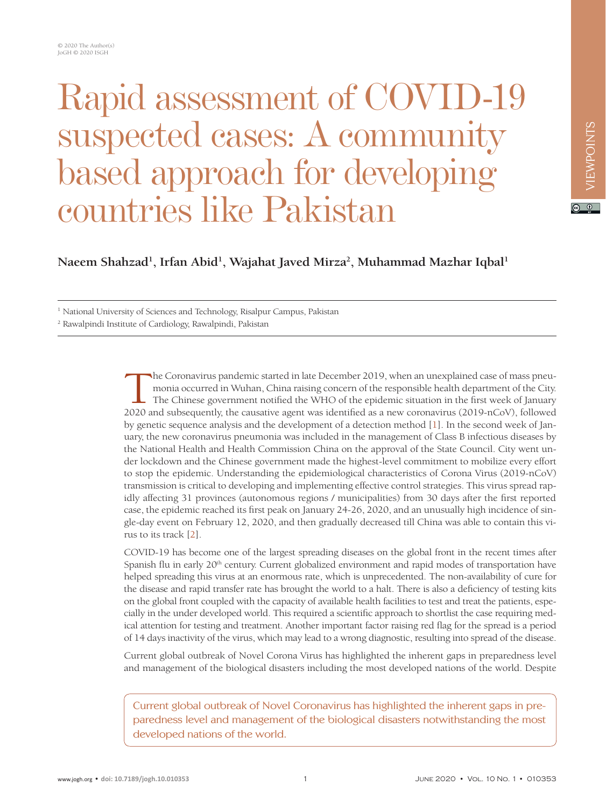## Rapid assessment of COVID-19 suspected cases: A community based approach for developing countries like Pakistan

Naeem Shahzad<sup>1</sup>, Irfan Abid<sup>1</sup>, Wajahat Javed Mirza<sup>2</sup>, Muhammad Mazhar Iqbal<sup>1</sup>

<sup>1</sup> National University of Sciences and Technology, Risalpur Campus, Pakistan

2 Rawalpindi Institute of Cardiology, Rawalpindi, Pakistan

The Coronavirus pandemic started in late December 2019, when an unexplained case of mass pneu-<br>monia occurred in Wuhan, China raising concern of the responsible health department of the City.<br>The Chinese government notifie monia occurred in Wuhan, China raising concern of the responsible health department of the City. The Chinese government notified the WHO of the epidemic situation in the first week of January 2020 and subsequently, the causative agent was identified as a new coronavirus (2019-nCoV), followed by genetic sequence analysis and the development of a detection method [[1](#page-3-0)]. In the second week of January, the new coronavirus pneumonia was included in the management of Class B infectious diseases by the National Health and Health Commission China on the approval of the State Council. City went under lockdown and the Chinese government made the highest-level commitment to mobilize every effort to stop the epidemic. Understanding the epidemiological characteristics of Corona Virus (2019-nCoV) transmission is critical to developing and implementing effective control strategies. This virus spread rapidly affecting 31 provinces (autonomous regions / municipalities) from 30 days after the first reported case, the epidemic reached its first peak on January 24-26, 2020, and an unusually high incidence of single-day event on February 12, 2020, and then gradually decreased till China was able to contain this virus to its track [[2](#page-3-1)].

COVID-19 has become one of the largest spreading diseases on the global front in the recent times after Spanish flu in early 20<sup>th</sup> century. Current globalized environment and rapid modes of transportation have helped spreading this virus at an enormous rate, which is unprecedented. The non-availability of cure for the disease and rapid transfer rate has brought the world to a halt. There is also a deficiency of testing kits on the global front coupled with the capacity of available health facilities to test and treat the patients, especially in the under developed world. This required a scientific approach to shortlist the case requiring medical attention for testing and treatment. Another important factor raising red flag for the spread is a period of 14 days inactivity of the virus, which may lead to a wrong diagnostic, resulting into spread of the disease.

Current global outbreak of Novel Corona Virus has highlighted the inherent gaps in preparedness level and management of the biological disasters including the most developed nations of the world. Despite

Current global outbreak of Novel Coronavirus has highlighted the inherent gaps in preparedness level and management of the biological disasters notwithstanding the most developed nations of the world.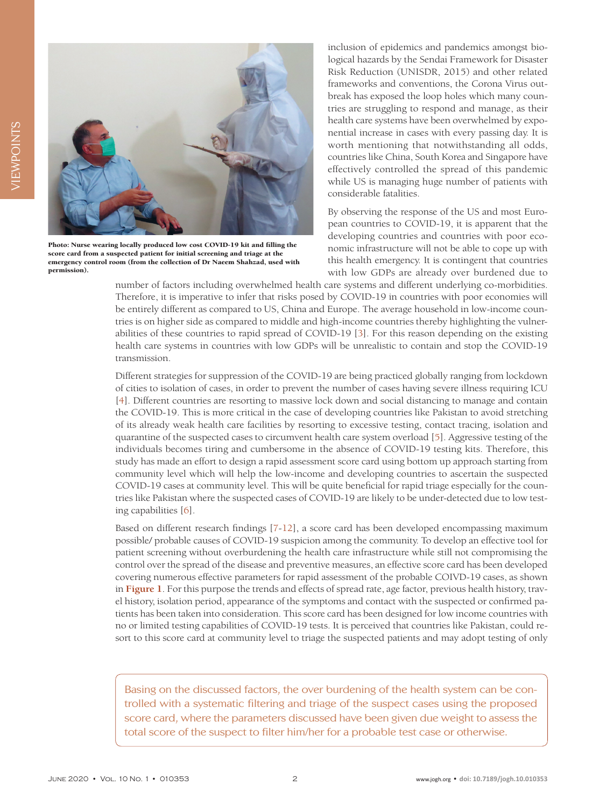

Photo: Nurse wearing locally produced low cost COVID-19 kit and filling the score card from a suspected patient for initial screening and triage at the emergency control room (from the collection of Dr Naeem Shahzad, used with permission).

inclusion of epidemics and pandemics amongst biological hazards by the Sendai Framework for Disaster Risk Reduction (UNISDR, 2015) and other related frameworks and conventions, the Corona Virus outbreak has exposed the loop holes which many countries are struggling to respond and manage, as their health care systems have been overwhelmed by exponential increase in cases with every passing day. It is worth mentioning that notwithstanding all odds, countries like China, South Korea and Singapore have effectively controlled the spread of this pandemic while US is managing huge number of patients with considerable fatalities.

By observing the response of the US and most European countries to COVID-19, it is apparent that the developing countries and countries with poor economic infrastructure will not be able to cope up with this health emergency. It is contingent that countries with low GDPs are already over burdened due to

number of factors including overwhelmed health care systems and different underlying co-morbidities. Therefore, it is imperative to infer that risks posed by COVID-19 in countries with poor economies will be entirely different as compared to US, China and Europe. The average household in low-income countries is on higher side as compared to middle and high-income countries thereby highlighting the vulnerabilities of these countries to rapid spread of COVID-19 [[3\]](#page-3-2). For this reason depending on the existing health care systems in countries with low GDPs will be unrealistic to contain and stop the COVID-19 transmission.

Different strategies for suppression of the COVID-19 are being practiced globally ranging from lockdown of cities to isolation of cases, in order to prevent the number of cases having severe illness requiring ICU [[4](#page-3-3)]. Different countries are resorting to massive lock down and social distancing to manage and contain the COVID-19. This is more critical in the case of developing countries like Pakistan to avoid stretching of its already weak health care facilities by resorting to excessive testing, contact tracing, isolation and quarantine of the suspected cases to circumvent health care system overload [[5](#page-4-0)]. Aggressive testing of the individuals becomes tiring and cumbersome in the absence of COVID-19 testing kits. Therefore, this study has made an effort to design a rapid assessment score card using bottom up approach starting from community level which will help the low-income and developing countries to ascertain the suspected COVID-19 cases at community level. This will be quite beneficial for rapid triage especially for the countries like Pakistan where the suspected cases of COVID-19 are likely to be under-detected due to low testing capabilities [[6](#page-4-1)].

Based on different research findings [[7-](#page-4-2)[12\]](#page-4-3), a score card has been developed encompassing maximum possible/ probable causes of COVID-19 suspicion among the community. To develop an effective tool for patient screening without overburdening the health care infrastructure while still not compromising the control over the spread of the disease and preventive measures, an effective score card has been developed covering numerous effective parameters for rapid assessment of the probable COIVD-19 cases, as shown in **[Figure 1](#page-2-0)**. For this purpose the trends and effects of spread rate, age factor, previous health history, travel history, isolation period, appearance of the symptoms and contact with the suspected or confirmed patients has been taken into consideration. This score card has been designed for low income countries with no or limited testing capabilities of COVID-19 tests. It is perceived that countries like Pakistan, could resort to this score card at community level to triage the suspected patients and may adopt testing of only

Basing on the discussed factors, the over burdening of the health system can be controlled with a systematic filtering and triage of the suspect cases using the proposed score card, where the parameters discussed have been given due weight to assess the total score of the suspect to filter him/her for a probable test case or otherwise.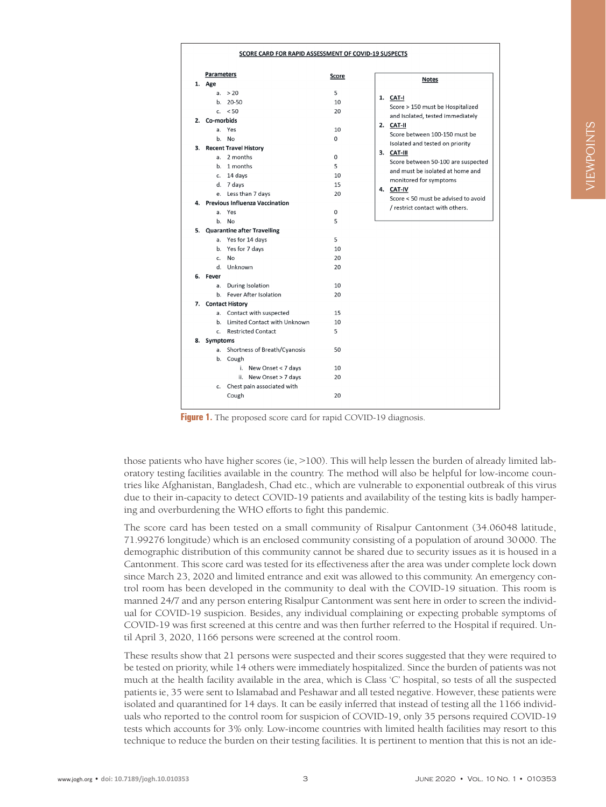<span id="page-2-0"></span>

|  | <b>Parameters</b>                 | Score | <b>Notes</b>                        |
|--|-----------------------------------|-------|-------------------------------------|
|  | 1. Age                            |       |                                     |
|  | a. $>20$                          | 5     | 1. CAT-I                            |
|  | $b. 20 - 50$                      | 10    | Score > 150 must be Hospitalized    |
|  | c. < 50                           | 20    | and Isolated, tested immediately    |
|  | 2. Co-morbids                     |       | 2. CAT-II                           |
|  | a. Yes                            | 10    | Score between 100-150 must be       |
|  | b. No                             | 0     | Isolated and tested on priority     |
|  | 3. Recent Travel History          |       | 3. CAT-III                          |
|  | a. 2 months                       | 0     | Score between 50-100 are suspected  |
|  | b. 1 months                       | 5     | and must be isolated at home and    |
|  | c. 14 days                        | 10    | monitored for symptoms              |
|  | d. 7 days                         | 15    | 4. CAT-IV                           |
|  | e. Less than 7 days               | 20    | Score < 50 must be advised to avoid |
|  | 4. Previous Influenza Vaccination |       | / restrict contact with others.     |
|  | a. Yes                            | 0     |                                     |
|  | b. No                             | 5     |                                     |
|  | 5. Quarantine after Travelling    |       |                                     |
|  | a. Yes for 14 days                | 5     |                                     |
|  | b. Yes for 7 days                 | 10    |                                     |
|  | c. No                             | 20    |                                     |
|  | d. Unknown                        | 20    |                                     |
|  | 6. Fever                          |       |                                     |
|  | a. During Isolation               | 10    |                                     |
|  | b. Fever After Isolation          | 20    |                                     |
|  | 7. Contact History                |       |                                     |
|  | a. Contact with suspected         | 15    |                                     |
|  | b. Limited Contact with Unknown   | 10    |                                     |
|  | c. Restricted Contact             | 5     |                                     |
|  | 8. Symptoms                       |       |                                     |
|  | a. Shortness of Breath/Cyanosis   | 50    |                                     |
|  | b. Cough                          |       |                                     |
|  | i. New Onset < 7 days             | 10    |                                     |
|  | ii. New Onset > 7 days            | 20    |                                     |
|  | c. Chest pain associated with     |       |                                     |
|  | Cough                             | 20    |                                     |

**Figure 1.** The proposed score card for rapid COVID-19 diagnosis.

those patients who have higher scores (ie,  $>100$ ). This will help lessen the burden of already limited laboratory testing facilities available in the country. The method will also be helpful for low-income countries like Afghanistan, Bangladesh, Chad etc., which are vulnerable to exponential outbreak of this virus due to their in-capacity to detect COVID-19 patients and availability of the testing kits is badly hampering and overburdening the WHO efforts to fight this pandemic.

The score card has been tested on a small community of Risalpur Cantonment (34.06048 latitude, 71.99276 longitude) which is an enclosed community consisting of a population of around 30000. The demographic distribution of this community cannot be shared due to security issues as it is housed in a Cantonment. This score card was tested for its effectiveness after the area was under complete lock down since March 23, 2020 and limited entrance and exit was allowed to this community. An emergency control room has been developed in the community to deal with the COVID-19 situation. This room is manned 24/7 and any person entering Risalpur Cantonment was sent here in order to screen the individual for COVID-19 suspicion. Besides, any individual complaining or expecting probable symptoms of COVID-19 was first screened at this centre and was then further referred to the Hospital if required. Until April 3, 2020, 1166 persons were screened at the control room.

These results show that 21 persons were suspected and their scores suggested that they were required to be tested on priority, while 14 others were immediately hospitalized. Since the burden of patients was not much at the health facility available in the area, which is Class 'C' hospital, so tests of all the suspected patients ie, 35 were sent to Islamabad and Peshawar and all tested negative. However, these patients were isolated and quarantined for 14 days. It can be easily inferred that instead of testing all the 1166 individuals who reported to the control room for suspicion of COVID-19, only 35 persons required COVID-19 tests which accounts for 3% only. Low-income countries with limited health facilities may resort to this technique to reduce the burden on their testing facilities. It is pertinent to mention that this is not an ide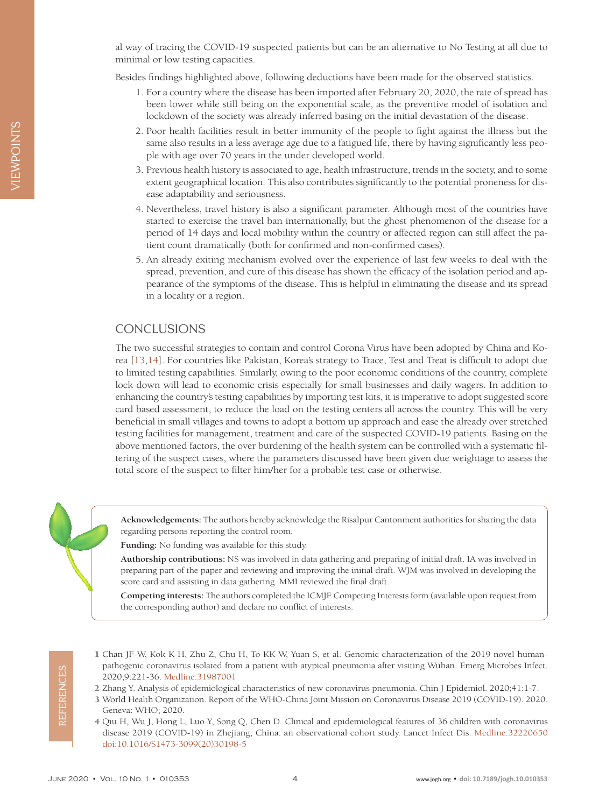al way of tracing the COVID-19 suspected patients but can be an alternative to No Testing at all due to minimal or low testing capacities.

Besides findings highlighted above, following deductions have been made for the observed statistics.

- 1. For a country where the disease has been imported after February 20, 2020, the rate of spread has been lower while still being on the exponential scale, as the preventive model of isolation and lockdown of the society was already inferred basing on the initial devastation of the disease.
- 2. Poor health facilities result in better immunity of the people to fight against the illness but the same also results in a less average age due to a fatigued life, there by having significantly less people with age over 70 years in the under developed world.
- 3. Previous health history is associated to age, health infrastructure, trends in the society, and to some extent geographical location. This also contributes significantly to the potential proneness for disease adaptability and seriousness.
- 4. Nevertheless, travel history is also a significant parameter. Although most of the countries have started to exercise the travel ban internationally, but the ghost phenomenon of the disease for a period of 14 days and local mobility within the country or affected region can still affect the patient count dramatically (both for confirmed and non-confirmed cases).
- 5. An already exiting mechanism evolved over the experience of last few weeks to deal with the spread, prevention, and cure of this disease has shown the efficacy of the isolation period and appearance of the symptoms of the disease. This is helpful in eliminating the disease and its spread in a locality or a region.

## **CONCLUSIONS**

The two successful strategies to contain and control Corona Virus have been adopted by China and Korea [[13](#page-4-4),[14\]](#page-4-5). For countries like Pakistan, Korea's strategy to Trace, Test and Treat is difficult to adopt due to limited testing capabilities. Similarly, owing to the poor economic conditions of the country, complete lock down will lead to economic crisis especially for small businesses and daily wagers. In addition to enhancing the country's testing capabilities by importing test kits, it is imperative to adopt suggested score card based assessment, to reduce the load on the testing centers all across the country. This will be very beneficial in small villages and towns to adopt a bottom up approach and ease the already over stretched testing facilities for management, treatment and care of the suspected COVID-19 patients. Basing on the above mentioned factors, the over burdening of the health system can be controlled with a systematic filtering of the suspect cases, where the parameters discussed have been given due weightage to assess the total score of the suspect to filter him/her for a probable test case or otherwise.

**Acknowledgements:** The authors hereby acknowledge the Risalpur Cantonment authorities for sharing the data regarding persons reporting the control room.

**Funding:** No funding was available for this study.

**Authorship contributions:** NS was involved in data gathering and preparing of initial draft. IA was involved in preparing part of the paper and reviewing and improving the initial draft. WJM was involved in developing the score card and assisting in data gathering. MMI reviewed the final draft.

**Competing interests:** The authors completed the ICMJE Competing Interests form (available upon request from the corresponding author) and declare no conflict of interests.

- <span id="page-3-0"></span> 1 Chan JF-W, Kok K-H, Zhu Z, Chu H, To KK-W, Yuan S, et al. Genomic characterization of the 2019 novel humanpathogenic coronavirus isolated from a patient with atypical pneumonia after visiting Wuhan. Emerg Microbes Infect. 2020;9:221-36. [Medline:31987001](https://www.ncbi.nlm.nih.gov/entrez/query.fcgi?cmd=Retrieve&db=PubMed&list_uids=31987001&dopt=Abstract)
- <span id="page-3-1"></span>2 Zhang Y. Analysis of epidemiological characteristics of new coronavirus pneumonia. Chin J Epidemiol. 2020;41:1-7.
- <span id="page-3-2"></span> 3 World Health Organization. Report of the WHO-China Joint Mission on Coronavirus Disease 2019 (COVID-19). 2020. Geneva: WHO; 2020.
- <span id="page-3-3"></span> 4 Qiu H, Wu J, Hong L, Luo Y, Song Q, Chen D. Clinical and epidemiological features of 36 children with coronavirus disease 2019 (COVID-19) in Zhejiang, China: an observational cohort study. Lancet Infect Dis. [Medline:32220650](https://www.ncbi.nlm.nih.gov/entrez/query.fcgi?cmd=Retrieve&db=PubMed&list_uids=32220650&dopt=Abstract) [doi:10.1016/S1473-3099\(20\)30198-5](https://doi.org/10.1016/S1473-3099(20)30198-5)

REFERENCES

**REFERENCES**